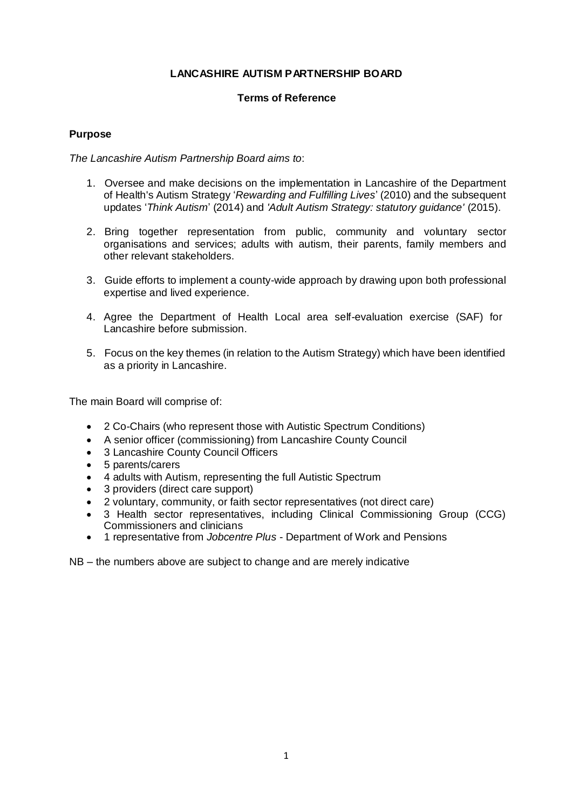## **LANCASHIRE AUTISM PARTNERSHIP BOARD**

### **Terms of Reference**

### **Purpose**

*The Lancashire Autism Partnership Board aims to*:

- 1. Oversee and make decisions on the implementation in Lancashire of the Department of Health's Autism Strategy '*Rewarding and Fulfilling Lives*' (2010) and the subsequent updates '*Think Autism*' (2014) and *'Adult Autism Strategy: statutory guidance'* (2015).
- 2. Bring together representation from public, community and voluntary sector organisations and services; adults with autism, their parents, family members and other relevant stakeholders.
- 3. Guide efforts to implement a county-wide approach by drawing upon both professional expertise and lived experience.
- 4. Agree the Department of Health Local area self-evaluation exercise (SAF) for Lancashire before submission.
- 5. Focus on the key themes (in relation to the Autism Strategy) which have been identified as a priority in Lancashire.

The main Board will comprise of:

- 2 Co-Chairs (who represent those with Autistic Spectrum Conditions)
- A senior officer (commissioning) from Lancashire County Council
- 3 Lancashire County Council Officers
- 5 parents/carers
- 4 adults with Autism, representing the full Autistic Spectrum
- 3 providers (direct care support)
- 2 voluntary, community, or faith sector representatives (not direct care)
- 3 Health sector representatives, including Clinical Commissioning Group (CCG) Commissioners and clinicians
- 1 representative from *Jobcentre Plus* Department of Work and Pensions

NB – the numbers above are subject to change and are merely indicative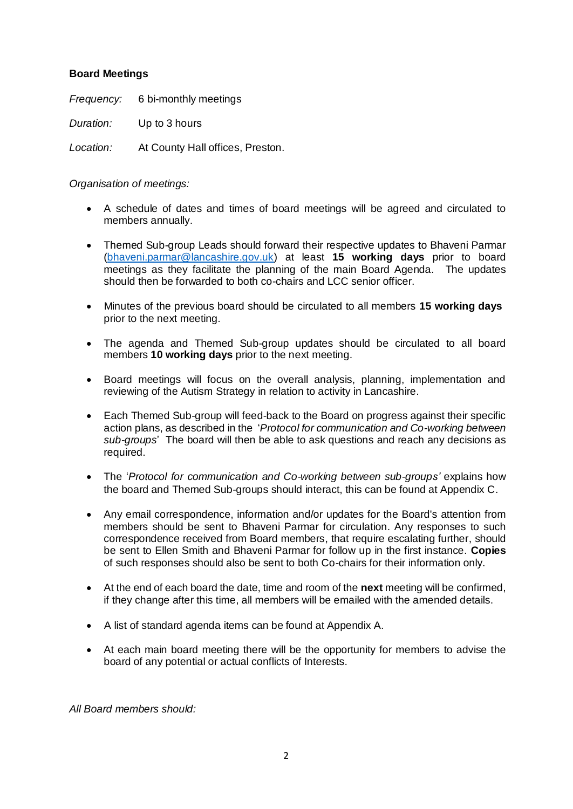## **Board Meetings**

*Frequency:* 6 bi-monthly meetings *Duration:* Up to 3 hours *Location:* At County Hall offices, Preston.

*Organisation of meetings:*

- A schedule of dates and times of board meetings will be agreed and circulated to members annually.
- Themed Sub-group Leads should forward their respective updates to Bhaveni Parmar [\(bhaveni.parmar@lancashire.gov.uk\)](mailto:bhaveni.parmar@lancashire.gov.uk) at least **15 working days** prior to board meetings as they facilitate the planning of the main Board Agenda. The updates should then be forwarded to both co-chairs and LCC senior officer.
- Minutes of the previous board should be circulated to all members **15 working days** prior to the next meeting.
- The agenda and Themed Sub-group updates should be circulated to all board members **10 working days** prior to the next meeting.
- Board meetings will focus on the overall analysis, planning, implementation and reviewing of the Autism Strategy in relation to activity in Lancashire.
- Each Themed Sub-group will feed-back to the Board on progress against their specific action plans, as described in the '*Protocol for communication and Co-working between sub-groups*' The board will then be able to ask questions and reach any decisions as required.
- The '*Protocol for communication and Co-working between sub-groups'* explains how the board and Themed Sub-groups should interact, this can be found at Appendix C.
- Any email correspondence, information and/or updates for the Board's attention from members should be sent to Bhaveni Parmar for circulation. Any responses to such correspondence received from Board members, that require escalating further, should be sent to Ellen Smith and Bhaveni Parmar for follow up in the first instance. **Copies**  of such responses should also be sent to both Co-chairs for their information only.
- At the end of each board the date, time and room of the **next** meeting will be confirmed, if they change after this time, all members will be emailed with the amended details.
- A list of standard agenda items can be found at Appendix A.
- At each main board meeting there will be the opportunity for members to advise the board of any potential or actual conflicts of Interests.

*All Board members should:*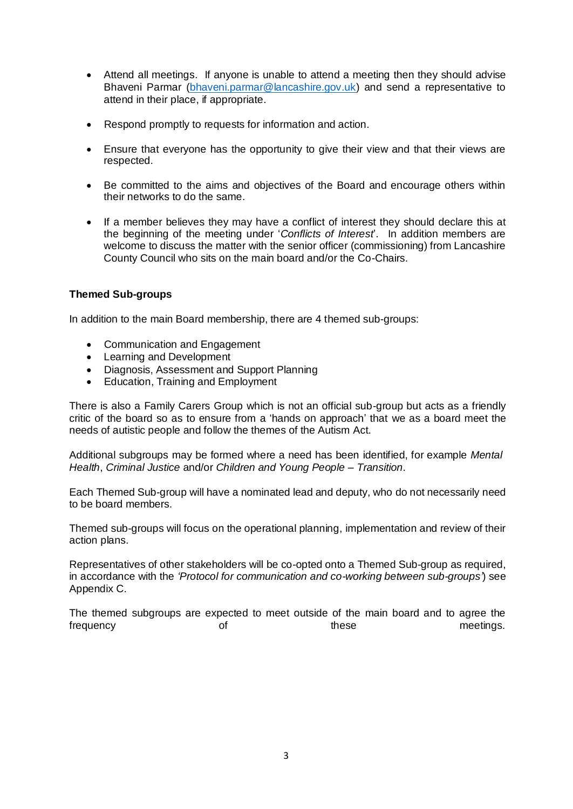- Attend all meetings. If anyone is unable to attend a meeting then they should advise Bhaveni Parmar [\(bhaveni.parmar@lancashire.gov.uk\)](mailto:bhaveni.parmar@lancashire.gov.uk) and send a representative to attend in their place, if appropriate.
- Respond promptly to requests for information and action.
- Ensure that everyone has the opportunity to give their view and that their views are respected.
- Be committed to the aims and objectives of the Board and encourage others within their networks to do the same.
- If a member believes they may have a conflict of interest they should declare this at the beginning of the meeting under '*Conflicts of Interest*'. In addition members are welcome to discuss the matter with the senior officer (commissioning) from Lancashire County Council who sits on the main board and/or the Co-Chairs.

## **Themed Sub-groups**

In addition to the main Board membership, there are 4 themed sub-groups:

- Communication and Engagement
- Learning and Development
- Diagnosis, Assessment and Support Planning
- Education, Training and Employment

There is also a Family Carers Group which is not an official sub-group but acts as a friendly critic of the board so as to ensure from a 'hands on approach' that we as a board meet the needs of autistic people and follow the themes of the Autism Act.

Additional subgroups may be formed where a need has been identified, for example *Mental Health*, *Criminal Justice* and/or *Children and Young People – Transition*.

Each Themed Sub-group will have a nominated lead and deputy, who do not necessarily need to be board members.

Themed sub-groups will focus on the operational planning, implementation and review of their action plans.

Representatives of other stakeholders will be co-opted onto a Themed Sub-group as required, in accordance with the *'Protocol for communication and co-working between sub-groups'*) see Appendix C.

The themed subgroups are expected to meet outside of the main board and to agree the frequency these these meetings.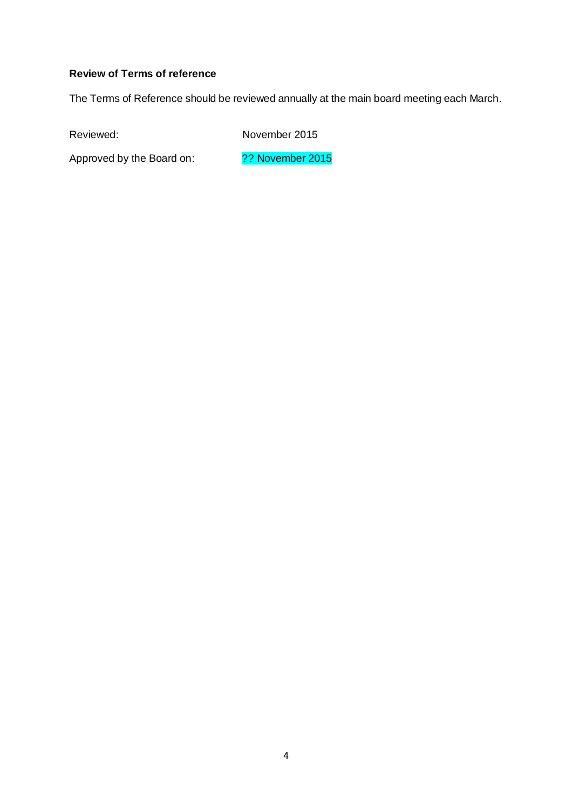## **Review of Terms of reference**

The Terms of Reference should be reviewed annually at the main board meeting each March.

Reviewed: November 2015

Approved by the Board on: ?? November 2015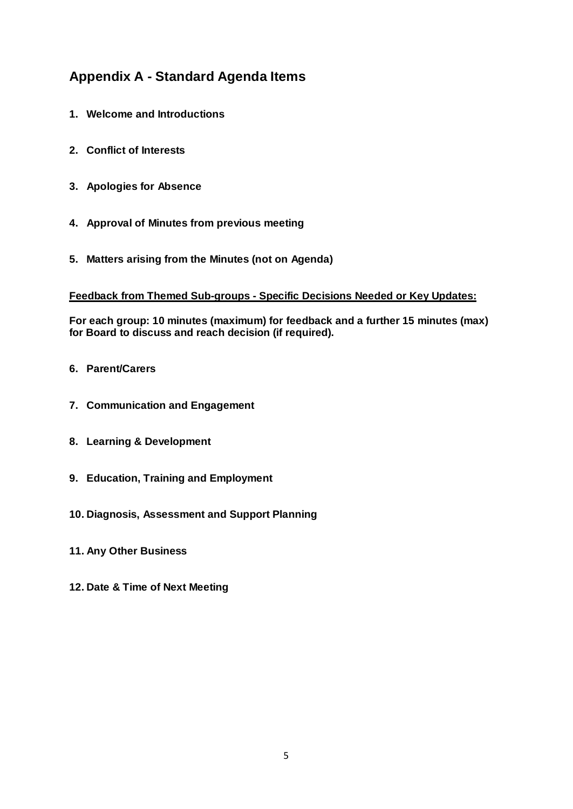## **Appendix A - Standard Agenda Items**

- **1. Welcome and Introductions**
- **2. Conflict of Interests**
- **3. Apologies for Absence**
- **4. Approval of Minutes from previous meeting**
- **5. Matters arising from the Minutes (not on Agenda)**

## **Feedback from Themed Sub-groups - Specific Decisions Needed or Key Updates:**

**For each group: 10 minutes (maximum) for feedback and a further 15 minutes (max) for Board to discuss and reach decision (if required).**

- **6. Parent/Carers**
- **7. Communication and Engagement**
- **8. Learning & Development**
- **9. Education, Training and Employment**
- **10. Diagnosis, Assessment and Support Planning**
- **11. Any Other Business**
- **12. Date & Time of Next Meeting**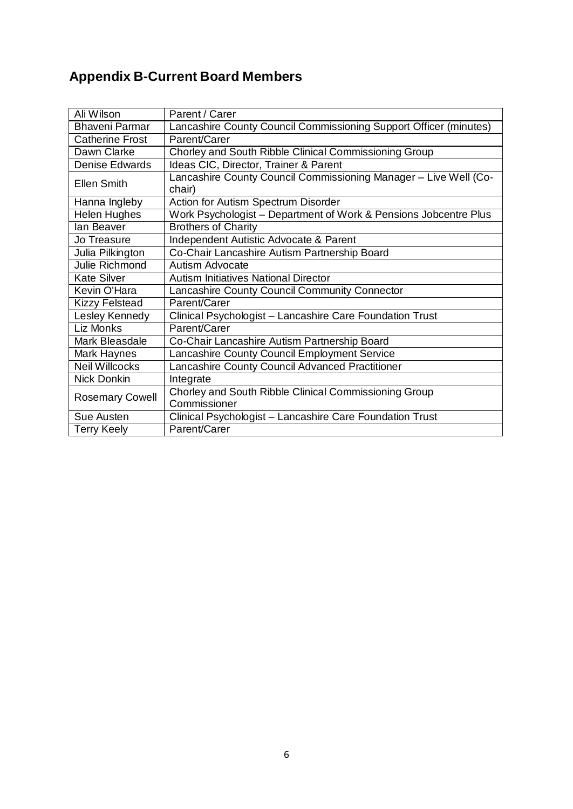# **Appendix B-Current Board Members**

| Ali Wilson             | Parent / Carer                                                             |
|------------------------|----------------------------------------------------------------------------|
| <b>Bhaveni Parmar</b>  | Lancashire County Council Commissioning Support Officer (minutes)          |
| <b>Catherine Frost</b> | Parent/Carer                                                               |
| Dawn Clarke            | Chorley and South Ribble Clinical Commissioning Group                      |
| <b>Denise Edwards</b>  | Ideas CIC, Director, Trainer & Parent                                      |
| <b>Ellen Smith</b>     | Lancashire County Council Commissioning Manager - Live Well (Co-<br>chair) |
| Hanna Ingleby          | Action for Autism Spectrum Disorder                                        |
| Helen Hughes           | Work Psychologist – Department of Work & Pensions Jobcentre Plus           |
| lan Beaver             | <b>Brothers of Charity</b>                                                 |
| Jo Treasure            | Independent Autistic Advocate & Parent                                     |
| Julia Pilkington       | Co-Chair Lancashire Autism Partnership Board                               |
| Julie Richmond         | Autism Advocate                                                            |
| <b>Kate Silver</b>     | <b>Autism Initiatives National Director</b>                                |
| Kevin O'Hara           | Lancashire County Council Community Connector                              |
| <b>Kizzy Felstead</b>  | Parent/Carer                                                               |
| Lesley Kennedy         | Clinical Psychologist - Lancashire Care Foundation Trust                   |
| Liz Monks              | Parent/Carer                                                               |
| Mark Bleasdale         | Co-Chair Lancashire Autism Partnership Board                               |
| Mark Haynes            | Lancashire County Council Employment Service                               |
| <b>Neil Willcocks</b>  | Lancashire County Council Advanced Practitioner                            |
| <b>Nick Donkin</b>     | Integrate                                                                  |
| <b>Rosemary Cowell</b> | Chorley and South Ribble Clinical Commissioning Group<br>Commissioner      |
| Sue Austen             | Clinical Psychologist - Lancashire Care Foundation Trust                   |
| <b>Terry Keely</b>     | Parent/Carer                                                               |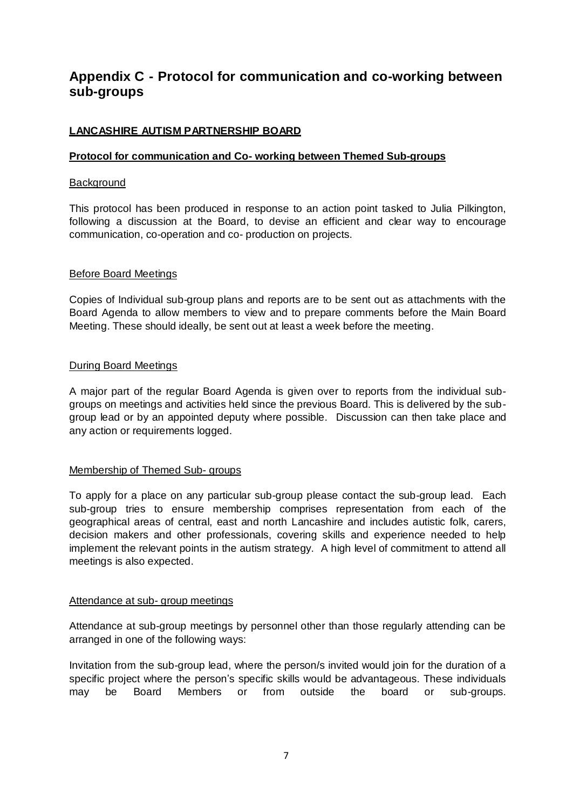## **Appendix C - Protocol for communication and co-working between sub-groups**

## **LANCASHIRE AUTISM PARTNERSHIP BOARD**

## **Protocol for communication and Co- working between Themed Sub-groups**

### **Background**

This protocol has been produced in response to an action point tasked to Julia Pilkington, following a discussion at the Board, to devise an efficient and clear way to encourage communication, co-operation and co- production on projects.

### Before Board Meetings

Copies of Individual sub-group plans and reports are to be sent out as attachments with the Board Agenda to allow members to view and to prepare comments before the Main Board Meeting. These should ideally, be sent out at least a week before the meeting.

### During Board Meetings

A major part of the regular Board Agenda is given over to reports from the individual subgroups on meetings and activities held since the previous Board. This is delivered by the subgroup lead or by an appointed deputy where possible. Discussion can then take place and any action or requirements logged.

#### Membership of Themed Sub- groups

To apply for a place on any particular sub-group please contact the sub-group lead. Each sub-group tries to ensure membership comprises representation from each of the geographical areas of central, east and north Lancashire and includes autistic folk, carers, decision makers and other professionals, covering skills and experience needed to help implement the relevant points in the autism strategy. A high level of commitment to attend all meetings is also expected.

#### Attendance at sub- group meetings

Attendance at sub-group meetings by personnel other than those regularly attending can be arranged in one of the following ways:

Invitation from the sub-group lead, where the person/s invited would join for the duration of a specific project where the person's specific skills would be advantageous. These individuals may be Board Members or from outside the board or sub-groups.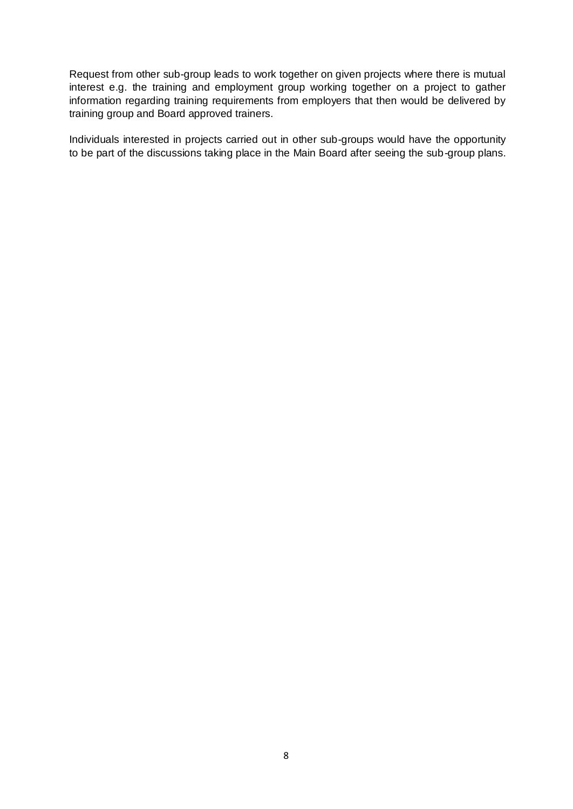Request from other sub-group leads to work together on given projects where there is mutual interest e.g. the training and employment group working together on a project to gather information regarding training requirements from employers that then would be delivered by training group and Board approved trainers.

Individuals interested in projects carried out in other sub-groups would have the opportunity to be part of the discussions taking place in the Main Board after seeing the sub-group plans.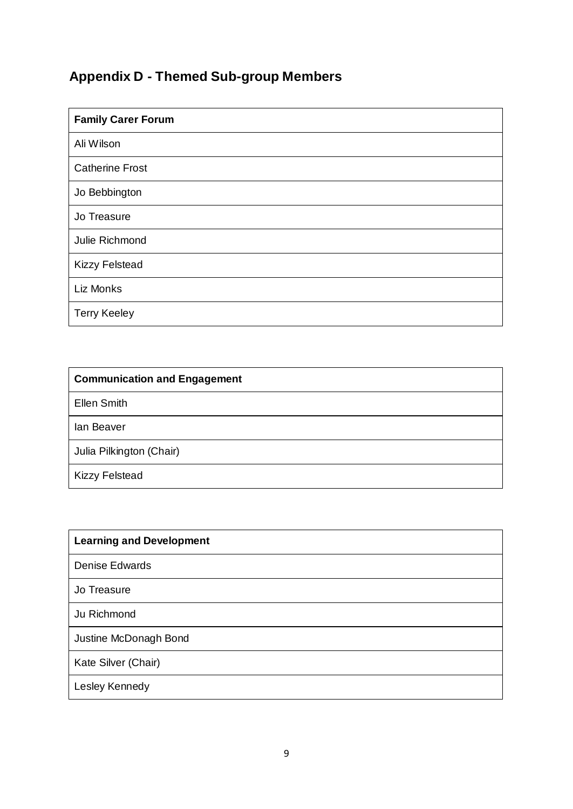# **Appendix D - Themed Sub-group Members**

| <b>Family Carer Forum</b> |  |
|---------------------------|--|
| Ali Wilson                |  |
| <b>Catherine Frost</b>    |  |
| Jo Bebbington             |  |
| Jo Treasure               |  |
| Julie Richmond            |  |
| <b>Kizzy Felstead</b>     |  |
| Liz Monks                 |  |
| <b>Terry Keeley</b>       |  |

| <b>Communication and Engagement</b> |
|-------------------------------------|
| <b>Ellen Smith</b>                  |
| lan Beaver                          |
| Julia Pilkington (Chair)            |
| <b>Kizzy Felstead</b>               |

| <b>Learning and Development</b> |  |  |
|---------------------------------|--|--|
| <b>Denise Edwards</b>           |  |  |
| Jo Treasure                     |  |  |
| Ju Richmond                     |  |  |
| Justine McDonagh Bond           |  |  |
| Kate Silver (Chair)             |  |  |
| Lesley Kennedy                  |  |  |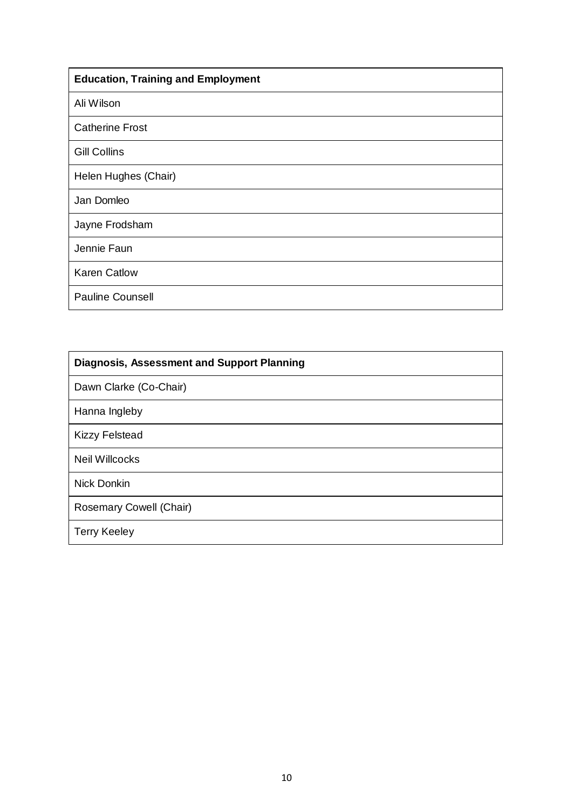| <b>Education, Training and Employment</b> |  |  |
|-------------------------------------------|--|--|
| Ali Wilson                                |  |  |
| <b>Catherine Frost</b>                    |  |  |
| <b>Gill Collins</b>                       |  |  |
| Helen Hughes (Chair)                      |  |  |
| Jan Domleo                                |  |  |
| Jayne Frodsham                            |  |  |
| Jennie Faun                               |  |  |
| <b>Karen Catlow</b>                       |  |  |
| <b>Pauline Counsell</b>                   |  |  |

| <b>Diagnosis, Assessment and Support Planning</b> |  |  |
|---------------------------------------------------|--|--|
| Dawn Clarke (Co-Chair)                            |  |  |
| Hanna Ingleby                                     |  |  |
| <b>Kizzy Felstead</b>                             |  |  |
| <b>Neil Willcocks</b>                             |  |  |
| <b>Nick Donkin</b>                                |  |  |
| Rosemary Cowell (Chair)                           |  |  |
| <b>Terry Keeley</b>                               |  |  |